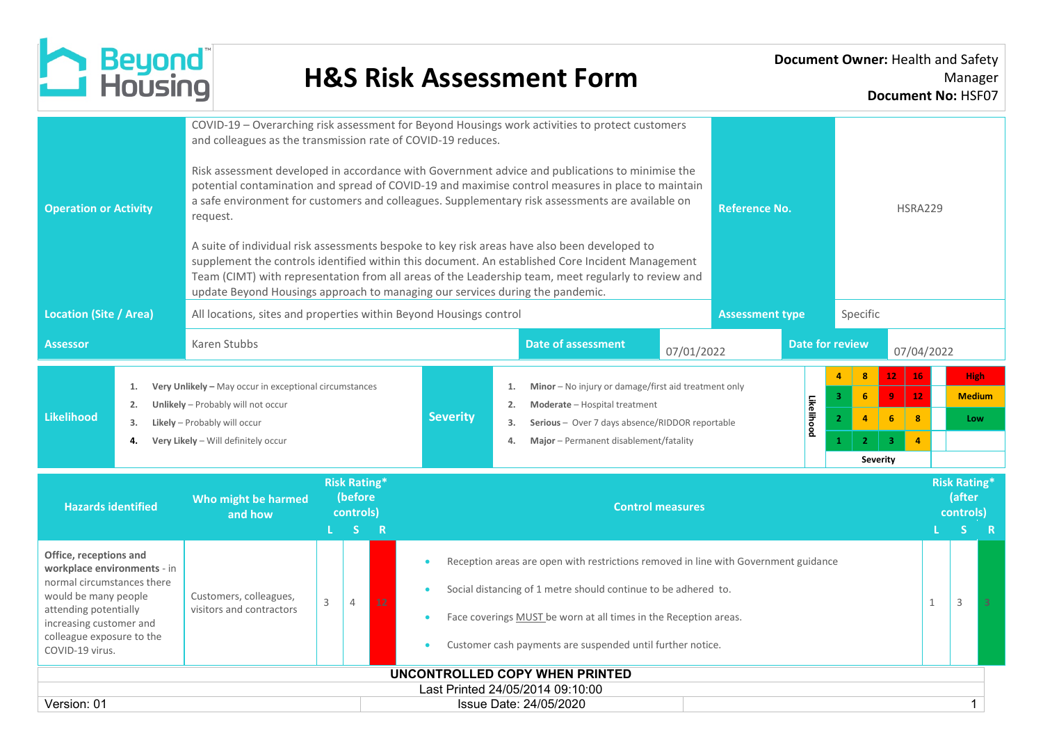

| <b>Operation or Activity</b>                                                                                                                                                                                                                                                          |                      | COVID-19 - Overarching risk assessment for Beyond Housings work activities to protect customers<br>and colleagues as the transmission rate of COVID-19 reduces.<br>Risk assessment developed in accordance with Government advice and publications to minimise the<br>potential contamination and spread of COVID-19 and maximise control measures in place to maintain<br>a safe environment for customers and colleagues. Supplementary risk assessments are available on<br><b>Reference No.</b><br>request.<br>A suite of individual risk assessments bespoke to key risk areas have also been developed to<br>supplement the controls identified within this document. An established Core Incident Management<br>Team (CIMT) with representation from all areas of the Leadership team, meet regularly to review and<br>update Beyond Housings approach to managing our services during the pandemic. |                                                                                                          |                                                                                                                                                                                                                                                                                         |                         |                      |                                                                                                                                                                                                                                         |            |  |  |                        |              |                                                        | <b>HSRA229</b>                      |  |  |  |  |  |  |
|---------------------------------------------------------------------------------------------------------------------------------------------------------------------------------------------------------------------------------------------------------------------------------------|----------------------|-------------------------------------------------------------------------------------------------------------------------------------------------------------------------------------------------------------------------------------------------------------------------------------------------------------------------------------------------------------------------------------------------------------------------------------------------------------------------------------------------------------------------------------------------------------------------------------------------------------------------------------------------------------------------------------------------------------------------------------------------------------------------------------------------------------------------------------------------------------------------------------------------------------|----------------------------------------------------------------------------------------------------------|-----------------------------------------------------------------------------------------------------------------------------------------------------------------------------------------------------------------------------------------------------------------------------------------|-------------------------|----------------------|-----------------------------------------------------------------------------------------------------------------------------------------------------------------------------------------------------------------------------------------|------------|--|--|------------------------|--------------|--------------------------------------------------------|-------------------------------------|--|--|--|--|--|--|
| <b>Location (Site / Area)</b>                                                                                                                                                                                                                                                         |                      |                                                                                                                                                                                                                                                                                                                                                                                                                                                                                                                                                                                                                                                                                                                                                                                                                                                                                                             | All locations, sites and properties within Beyond Housings control<br><b>Assessment type</b><br>Specific |                                                                                                                                                                                                                                                                                         |                         |                      |                                                                                                                                                                                                                                         |            |  |  |                        |              |                                                        |                                     |  |  |  |  |  |  |
| <b>Assessor</b>                                                                                                                                                                                                                                                                       |                      | Karen Stubbs                                                                                                                                                                                                                                                                                                                                                                                                                                                                                                                                                                                                                                                                                                                                                                                                                                                                                                |                                                                                                          |                                                                                                                                                                                                                                                                                         |                         |                      | <b>Date of assessment</b>                                                                                                                                                                                                               | 07/01/2022 |  |  | <b>Date for review</b> |              | 07/04/2022                                             |                                     |  |  |  |  |  |  |
| <b>Likelihood</b>                                                                                                                                                                                                                                                                     | 1.<br>2.<br>3.<br>4. | Very Unlikely - May occur in exceptional circumstances<br>Unlikely - Probably will not occur<br>Likely - Probably will occur<br>Very Likely - Will definitely occur                                                                                                                                                                                                                                                                                                                                                                                                                                                                                                                                                                                                                                                                                                                                         |                                                                                                          |                                                                                                                                                                                                                                                                                         | <b>Severity</b>         | 1.<br>2.<br>3.<br>4. | Minor - No injury or damage/first aid treatment only<br>3<br>Likelihood<br>Moderate - Hospital treatment<br>$\overline{2}$<br>Serious - Over 7 days absence/RIDDOR reportable<br>Major - Permanent disablement/fatality<br>$\mathbf{1}$ |            |  |  |                        |              | 16<br>12 <sub>1</sub><br>8<br>$\overline{4}$           | <b>High</b><br><b>Medium</b><br>Low |  |  |  |  |  |  |
| <b>Hazards identified</b>                                                                                                                                                                                                                                                             |                      | Who might be harmed<br>and how                                                                                                                                                                                                                                                                                                                                                                                                                                                                                                                                                                                                                                                                                                                                                                                                                                                                              |                                                                                                          | <b>Risk Rating*</b><br>(before<br>controls)<br>S.<br>$\mathsf R$                                                                                                                                                                                                                        | <b>Control measures</b> |                      |                                                                                                                                                                                                                                         |            |  |  |                        |              | <b>Risk Rating*</b><br>(after<br>controls)<br>S.<br>-R |                                     |  |  |  |  |  |  |
| Office, receptions and<br>workplace environments - in<br>normal circumstances there<br>would be many people<br>Customers, colleagues,<br>3<br>4<br>12<br>attending potentially<br>visitors and contractors<br>increasing customer and<br>colleague exposure to the<br>COVID-19 virus. |                      |                                                                                                                                                                                                                                                                                                                                                                                                                                                                                                                                                                                                                                                                                                                                                                                                                                                                                                             |                                                                                                          | Reception areas are open with restrictions removed in line with Government guidance<br>Social distancing of 1 metre should continue to be adhered to.<br>Face coverings MUST be worn at all times in the Reception areas.<br>Customer cash payments are suspended until further notice. |                         |                      |                                                                                                                                                                                                                                         |            |  |  |                        | $\mathbf{1}$ | 3                                                      |                                     |  |  |  |  |  |  |
| Version: 01                                                                                                                                                                                                                                                                           |                      |                                                                                                                                                                                                                                                                                                                                                                                                                                                                                                                                                                                                                                                                                                                                                                                                                                                                                                             |                                                                                                          |                                                                                                                                                                                                                                                                                         |                         |                      | UNCONTROLLED COPY WHEN PRINTED<br>Last Printed 24/05/2014 09:10:00<br>Issue Date: 24/05/2020                                                                                                                                            |            |  |  |                        |              |                                                        | $\mathbf{1}$                        |  |  |  |  |  |  |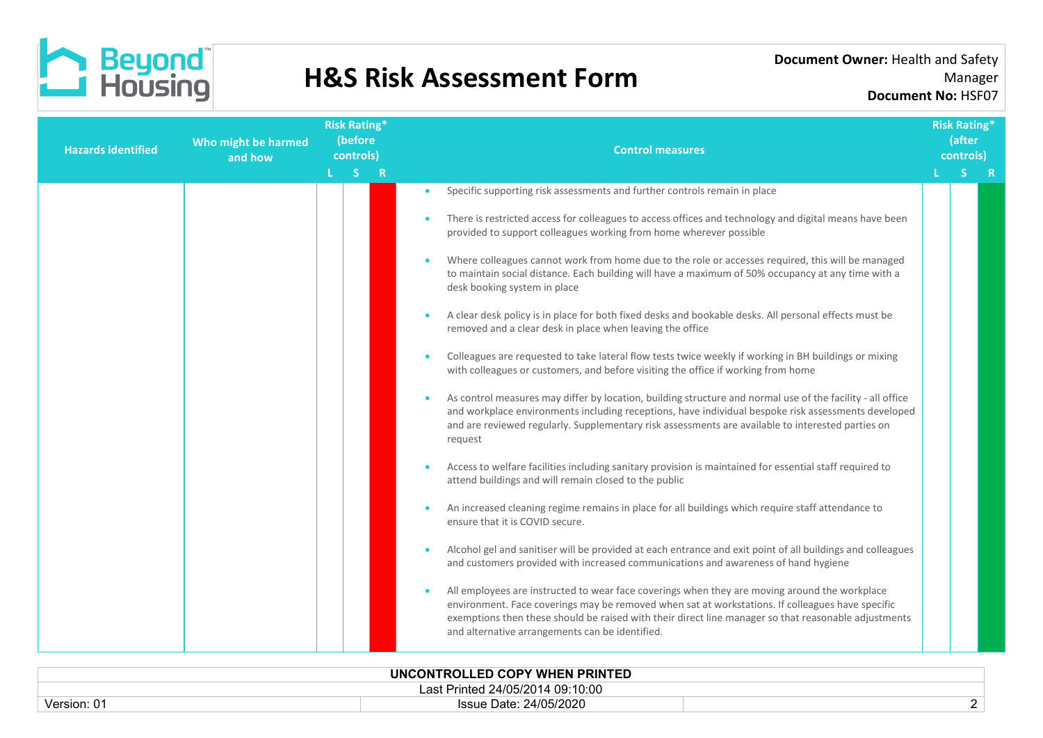

| Who might be harmed<br><b>Hazards identified</b><br>and how |         | <b>Risk Rating*</b><br>(before<br>controls) |           | <b>Control measures</b>                                                                                                                                                                                                                                                                                                                                                                                                                                                                                                                                                                                                                                                                                                                                                                                                                                                                                                                                                                                                                                                                                                                                                                                                                                                                                                                                                                                                                                                                                                                                                                                                                                                                                                                                                                                                                                                                                                                                                                                                                                                                       | <b>Risk Rating*</b><br>(after<br>controls) |     |
|-------------------------------------------------------------|---------|---------------------------------------------|-----------|-----------------------------------------------------------------------------------------------------------------------------------------------------------------------------------------------------------------------------------------------------------------------------------------------------------------------------------------------------------------------------------------------------------------------------------------------------------------------------------------------------------------------------------------------------------------------------------------------------------------------------------------------------------------------------------------------------------------------------------------------------------------------------------------------------------------------------------------------------------------------------------------------------------------------------------------------------------------------------------------------------------------------------------------------------------------------------------------------------------------------------------------------------------------------------------------------------------------------------------------------------------------------------------------------------------------------------------------------------------------------------------------------------------------------------------------------------------------------------------------------------------------------------------------------------------------------------------------------------------------------------------------------------------------------------------------------------------------------------------------------------------------------------------------------------------------------------------------------------------------------------------------------------------------------------------------------------------------------------------------------------------------------------------------------------------------------------------------------|--------------------------------------------|-----|
|                                                             | $L = S$ | R                                           |           |                                                                                                                                                                                                                                                                                                                                                                                                                                                                                                                                                                                                                                                                                                                                                                                                                                                                                                                                                                                                                                                                                                                                                                                                                                                                                                                                                                                                                                                                                                                                                                                                                                                                                                                                                                                                                                                                                                                                                                                                                                                                                               | S.                                         | - R |
|                                                             |         |                                             | $\bullet$ | Specific supporting risk assessments and further controls remain in place<br>There is restricted access for colleagues to access offices and technology and digital means have been<br>provided to support colleagues working from home wherever possible<br>Where colleagues cannot work from home due to the role or accesses required, this will be managed<br>to maintain social distance. Each building will have a maximum of 50% occupancy at any time with a<br>desk booking system in place<br>A clear desk policy is in place for both fixed desks and bookable desks. All personal effects must be<br>removed and a clear desk in place when leaving the office<br>Colleagues are requested to take lateral flow tests twice weekly if working in BH buildings or mixing<br>with colleagues or customers, and before visiting the office if working from home<br>As control measures may differ by location, building structure and normal use of the facility - all office<br>and workplace environments including receptions, have individual bespoke risk assessments developed<br>and are reviewed regularly. Supplementary risk assessments are available to interested parties on<br>request<br>Access to welfare facilities including sanitary provision is maintained for essential staff required to<br>attend buildings and will remain closed to the public<br>An increased cleaning regime remains in place for all buildings which require staff attendance to<br>ensure that it is COVID secure.<br>Alcohol gel and sanitiser will be provided at each entrance and exit point of all buildings and colleagues<br>and customers provided with increased communications and awareness of hand hygiene<br>All employees are instructed to wear face coverings when they are moving around the workplace<br>environment. Face coverings may be removed when sat at workstations. If colleagues have specific<br>exemptions then these should be raised with their direct line manager so that reasonable adjustments<br>and alternative arrangements can be identified. |                                            |     |
|                                                             |         |                                             |           |                                                                                                                                                                                                                                                                                                                                                                                                                                                                                                                                                                                                                                                                                                                                                                                                                                                                                                                                                                                                                                                                                                                                                                                                                                                                                                                                                                                                                                                                                                                                                                                                                                                                                                                                                                                                                                                                                                                                                                                                                                                                                               |                                            |     |

| UNCONTROLLED COPY WHEN PRINTED        |                        |  |  |  |  |  |  |  |
|---------------------------------------|------------------------|--|--|--|--|--|--|--|
| Printed 24/05/2014 09:10:00 ا<br>-as' |                        |  |  |  |  |  |  |  |
| Version: 01                           | Issue Date: 24/05/2020 |  |  |  |  |  |  |  |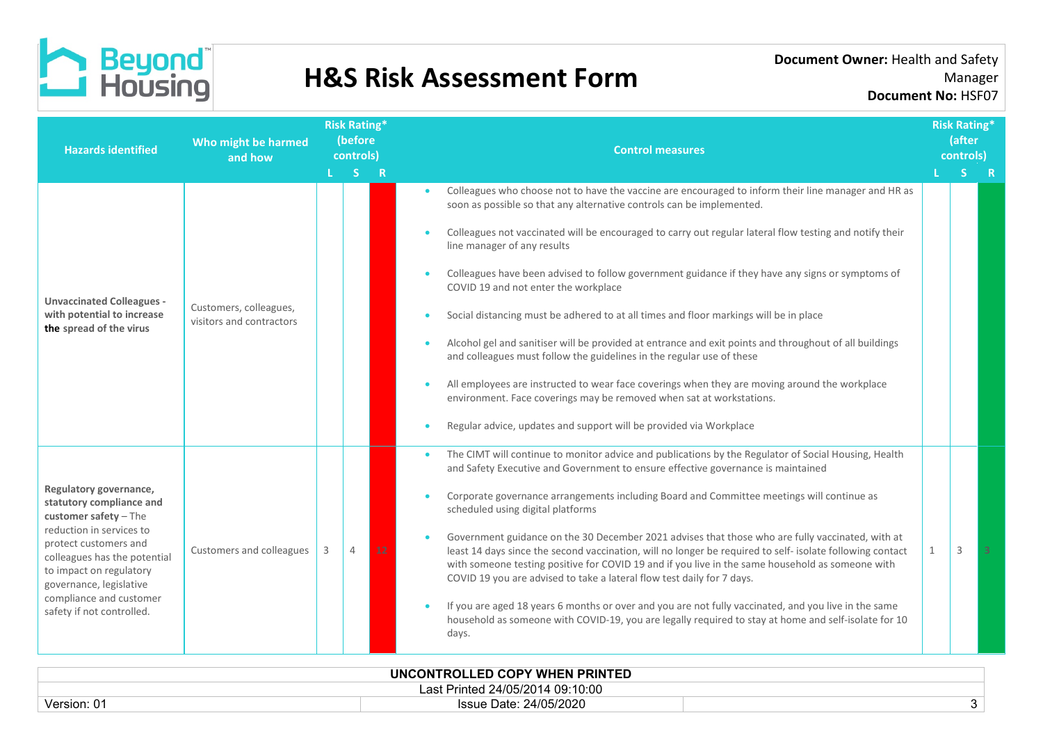

| <b>Hazards identified</b>                                                                                                                                                                                                                                                        | Who might be harmed<br>and how                     | <b>Risk Rating*</b><br>(before<br>controls)<br>L <sub>S</sub> R |   | <b>Control measures</b> |                                                                                                                                                                                                                                                                                                                                                                                                                                                                                                                                                                                                                                                                                                                                                                                                                                                                                                                                                                                               | <b>Risk Rating*</b><br>(after<br>controls) |               |    |
|----------------------------------------------------------------------------------------------------------------------------------------------------------------------------------------------------------------------------------------------------------------------------------|----------------------------------------------------|-----------------------------------------------------------------|---|-------------------------|-----------------------------------------------------------------------------------------------------------------------------------------------------------------------------------------------------------------------------------------------------------------------------------------------------------------------------------------------------------------------------------------------------------------------------------------------------------------------------------------------------------------------------------------------------------------------------------------------------------------------------------------------------------------------------------------------------------------------------------------------------------------------------------------------------------------------------------------------------------------------------------------------------------------------------------------------------------------------------------------------|--------------------------------------------|---------------|----|
|                                                                                                                                                                                                                                                                                  |                                                    |                                                                 |   |                         |                                                                                                                                                                                                                                                                                                                                                                                                                                                                                                                                                                                                                                                                                                                                                                                                                                                                                                                                                                                               |                                            |               | -R |
| <b>Unvaccinated Colleagues -</b><br>with potential to increase<br>the spread of the virus                                                                                                                                                                                        | Customers, colleagues,<br>visitors and contractors |                                                                 |   |                         | Colleagues who choose not to have the vaccine are encouraged to inform their line manager and HR as<br>soon as possible so that any alternative controls can be implemented.<br>Colleagues not vaccinated will be encouraged to carry out regular lateral flow testing and notify their<br>line manager of any results<br>Colleagues have been advised to follow government guidance if they have any signs or symptoms of<br>COVID 19 and not enter the workplace<br>Social distancing must be adhered to at all times and floor markings will be in place<br>Alcohol gel and sanitiser will be provided at entrance and exit points and throughout of all buildings<br>and colleagues must follow the guidelines in the regular use of these<br>All employees are instructed to wear face coverings when they are moving around the workplace<br>environment. Face coverings may be removed when sat at workstations.<br>Regular advice, updates and support will be provided via Workplace |                                            |               |    |
| Regulatory governance,<br>statutory compliance and<br>customer safety $-$ The<br>reduction in services to<br>protect customers and<br>colleagues has the potential<br>to impact on regulatory<br>governance, legislative<br>compliance and customer<br>safety if not controlled. | Customers and colleagues                           |                                                                 | 4 | 12                      | The CIMT will continue to monitor advice and publications by the Regulator of Social Housing, Health<br>and Safety Executive and Government to ensure effective governance is maintained<br>Corporate governance arrangements including Board and Committee meetings will continue as<br>scheduled using digital platforms<br>Government guidance on the 30 December 2021 advises that those who are fully vaccinated, with at<br>least 14 days since the second vaccination, will no longer be required to self- isolate following contact<br>with someone testing positive for COVID 19 and if you live in the same household as someone with<br>COVID 19 you are advised to take a lateral flow test daily for 7 days.<br>If you are aged 18 years 6 months or over and you are not fully vaccinated, and you live in the same<br>household as someone with COVID-19, you are legally required to stay at home and self-isolate for 10<br>days.                                            | -1                                         | $\mathcal{R}$ |    |

| UNCONTROLLED COPY WHEN PRINTED        |                        |     |  |  |  |  |  |  |
|---------------------------------------|------------------------|-----|--|--|--|--|--|--|
| t Printed 24/05/2014 09:10:00<br>-as' |                        |     |  |  |  |  |  |  |
| Version: 01                           | Issue Date: 24/05/2020 | . . |  |  |  |  |  |  |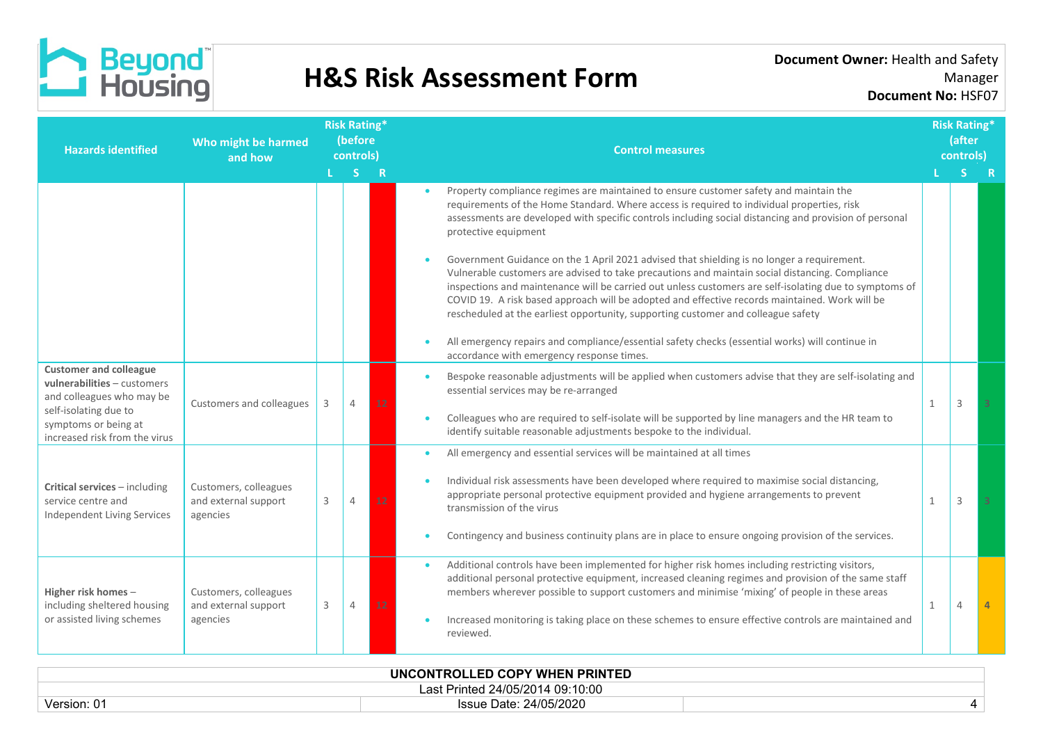

| <b>Hazards identified</b>                                                                 | Who might be harmed<br>and how                            | <b>Risk Rating*</b><br>(before<br>controls) |                |    | <b>Control measures</b> |  |                                                                                                                                                                                                                                                                                                                                                                                                                                                                                                |   |   | <b>Risk Rating*</b><br>(after<br>controls) |
|-------------------------------------------------------------------------------------------|-----------------------------------------------------------|---------------------------------------------|----------------|----|-------------------------|--|------------------------------------------------------------------------------------------------------------------------------------------------------------------------------------------------------------------------------------------------------------------------------------------------------------------------------------------------------------------------------------------------------------------------------------------------------------------------------------------------|---|---|--------------------------------------------|
|                                                                                           |                                                           |                                             | LS R           |    |                         |  |                                                                                                                                                                                                                                                                                                                                                                                                                                                                                                |   |   | - R                                        |
|                                                                                           |                                                           |                                             |                |    |                         |  | Property compliance regimes are maintained to ensure customer safety and maintain the<br>requirements of the Home Standard. Where access is required to individual properties, risk<br>assessments are developed with specific controls including social distancing and provision of personal<br>protective equipment                                                                                                                                                                          |   |   |                                            |
|                                                                                           |                                                           |                                             |                |    |                         |  | Government Guidance on the 1 April 2021 advised that shielding is no longer a requirement.<br>Vulnerable customers are advised to take precautions and maintain social distancing. Compliance<br>inspections and maintenance will be carried out unless customers are self-isolating due to symptoms of<br>COVID 19. A risk based approach will be adopted and effective records maintained. Work will be<br>rescheduled at the earliest opportunity, supporting customer and colleague safety |   |   |                                            |
|                                                                                           |                                                           |                                             |                |    |                         |  | All emergency repairs and compliance/essential safety checks (essential works) will continue in<br>accordance with emergency response times.                                                                                                                                                                                                                                                                                                                                                   |   |   |                                            |
| <b>Customer and colleague</b><br>vulnerabilities - customers<br>and colleagues who may be | Customers and colleagues                                  | 3                                           | $\overline{4}$ | 12 |                         |  | Bespoke reasonable adjustments will be applied when customers advise that they are self-isolating and<br>essential services may be re-arranged                                                                                                                                                                                                                                                                                                                                                 | 1 | 3 |                                            |
| self-isolating due to<br>symptoms or being at<br>increased risk from the virus            |                                                           |                                             |                |    |                         |  | Colleagues who are required to self-isolate will be supported by line managers and the HR team to<br>identify suitable reasonable adjustments bespoke to the individual.                                                                                                                                                                                                                                                                                                                       |   |   |                                            |
|                                                                                           |                                                           |                                             |                |    |                         |  | All emergency and essential services will be maintained at all times                                                                                                                                                                                                                                                                                                                                                                                                                           |   |   |                                            |
| Critical services - including<br>service centre and<br><b>Independent Living Services</b> | Customers, colleagues<br>and external support<br>agencies | 3                                           | $\overline{4}$ |    |                         |  | Individual risk assessments have been developed where required to maximise social distancing,<br>appropriate personal protective equipment provided and hygiene arrangements to prevent<br>transmission of the virus                                                                                                                                                                                                                                                                           | 1 | 3 |                                            |
|                                                                                           |                                                           |                                             |                |    |                         |  | Contingency and business continuity plans are in place to ensure ongoing provision of the services.                                                                                                                                                                                                                                                                                                                                                                                            |   |   |                                            |
| Higher risk homes-<br>including sheltered housing                                         | Customers, colleagues<br>and external support             | 3                                           | 4              | 12 |                         |  | Additional controls have been implemented for higher risk homes including restricting visitors,<br>additional personal protective equipment, increased cleaning regimes and provision of the same staff<br>members wherever possible to support customers and minimise 'mixing' of people in these areas                                                                                                                                                                                       | 1 | 4 |                                            |
| or assisted living schemes                                                                | agencies                                                  |                                             |                |    |                         |  | Increased monitoring is taking place on these schemes to ensure effective controls are maintained and<br>reviewed.                                                                                                                                                                                                                                                                                                                                                                             |   |   |                                            |

| UNCONTROLLED COPY WHEN PRINTED   |                        |  |  |  |  |  |  |  |
|----------------------------------|------------------------|--|--|--|--|--|--|--|
| Last Printed 24/05/2014 09:10:00 |                        |  |  |  |  |  |  |  |
| Version: 01                      | Issue Date: 24/05/2020 |  |  |  |  |  |  |  |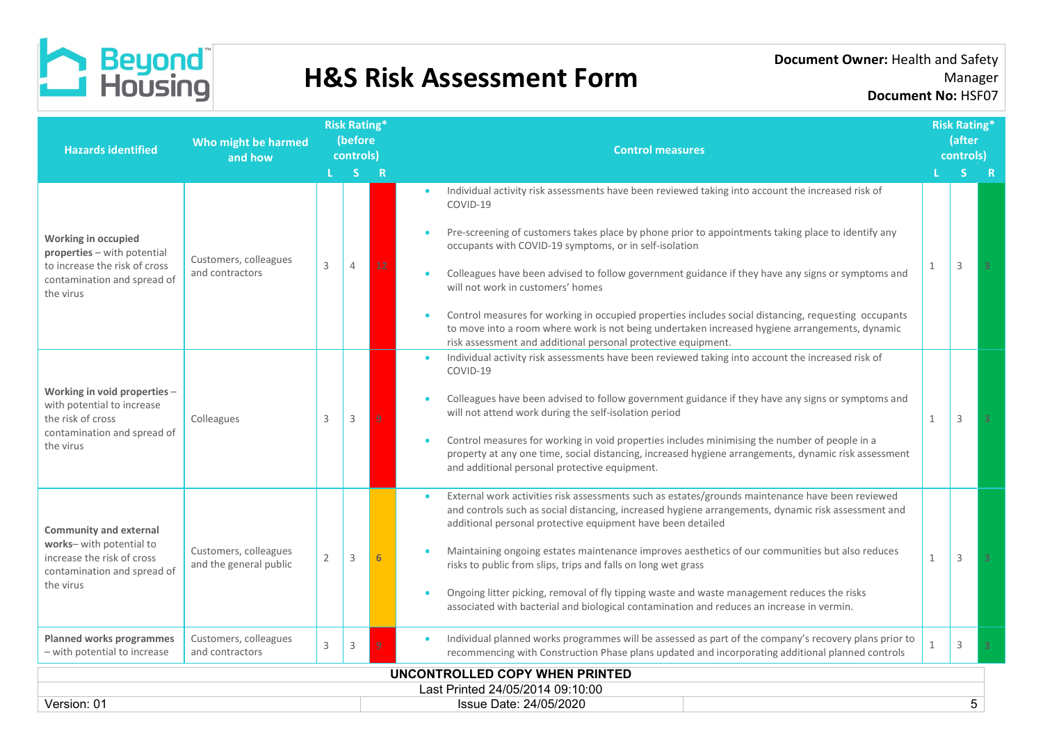

| <b>Hazards identified</b>                                                            | Who might be harmed<br>and how                  |                | <b>Risk Rating*</b><br>(before<br>controls) |    | <b>Control measures</b>                                                                                                                                                                                                                                                 |              | <b>Risk Rating*</b><br>(after<br>controls) |   |
|--------------------------------------------------------------------------------------|-------------------------------------------------|----------------|---------------------------------------------|----|-------------------------------------------------------------------------------------------------------------------------------------------------------------------------------------------------------------------------------------------------------------------------|--------------|--------------------------------------------|---|
|                                                                                      |                                                 |                | S.                                          | R  |                                                                                                                                                                                                                                                                         |              | S.                                         | R |
|                                                                                      |                                                 |                |                                             |    | Individual activity risk assessments have been reviewed taking into account the increased risk of<br>COVID-19                                                                                                                                                           |              |                                            |   |
| Working in occupied<br>properties - with potential                                   |                                                 |                |                                             |    | Pre-screening of customers takes place by phone prior to appointments taking place to identify any<br>occupants with COVID-19 symptoms, or in self-isolation                                                                                                            |              |                                            |   |
| to increase the risk of cross<br>contamination and spread of<br>the virus            | Customers, colleagues<br>and contractors        | 3              | 4                                           | 12 | Colleagues have been advised to follow government guidance if they have any signs or symptoms and<br>will not work in customers' homes                                                                                                                                  | 1            | 3                                          |   |
|                                                                                      |                                                 |                |                                             |    | Control measures for working in occupied properties includes social distancing, requesting occupants<br>to move into a room where work is not being undertaken increased hygiene arrangements, dynamic<br>risk assessment and additional personal protective equipment. |              |                                            |   |
|                                                                                      | Colleagues                                      |                |                                             |    | Individual activity risk assessments have been reviewed taking into account the increased risk of<br>COVID-19                                                                                                                                                           |              |                                            |   |
| Working in void properties -<br>with potential to increase<br>the risk of cross      |                                                 | 3              | 3                                           | q  | Colleagues have been advised to follow government guidance if they have any signs or symptoms and<br>will not attend work during the self-isolation period                                                                                                              | $\mathbf{1}$ | 3                                          |   |
| contamination and spread of<br>the virus                                             |                                                 |                |                                             |    | Control measures for working in void properties includes minimising the number of people in a<br>property at any one time, social distancing, increased hygiene arrangements, dynamic risk assessment<br>and additional personal protective equipment.                  |              |                                            |   |
| <b>Community and external</b>                                                        |                                                 |                |                                             |    | External work activities risk assessments such as estates/grounds maintenance have been reviewed<br>and controls such as social distancing, increased hygiene arrangements, dynamic risk assessment and<br>additional personal protective equipment have been detailed  |              |                                            |   |
| works-with potential to<br>increase the risk of cross<br>contamination and spread of | Customers, colleagues<br>and the general public | $\overline{2}$ | 3                                           |    | Maintaining ongoing estates maintenance improves aesthetics of our communities but also reduces<br>risks to public from slips, trips and falls on long wet grass                                                                                                        | $\mathbf{1}$ | $\mathbf{3}$                               |   |
| the virus                                                                            |                                                 |                |                                             |    | Ongoing litter picking, removal of fly tipping waste and waste management reduces the risks<br>associated with bacterial and biological contamination and reduces an increase in vermin.                                                                                |              |                                            |   |
| <b>Planned works programmes</b><br>- with potential to increase                      | Customers, colleagues<br>and contractors        | 3              | 3                                           |    | Individual planned works programmes will be assessed as part of the company's recovery plans prior to<br>recommencing with Construction Phase plans updated and incorporating additional planned controls                                                               | 1            | 3                                          |   |
|                                                                                      |                                                 |                |                                             |    | <b>UNCONTROLLED COPY WHEN PRINTED</b>                                                                                                                                                                                                                                   |              |                                            |   |
|                                                                                      |                                                 |                |                                             |    | Last Printed 24/05/2014 09:10:00                                                                                                                                                                                                                                        |              |                                            |   |
| Version: 01                                                                          |                                                 |                |                                             |    | Issue Date: 24/05/2020                                                                                                                                                                                                                                                  |              |                                            | 5 |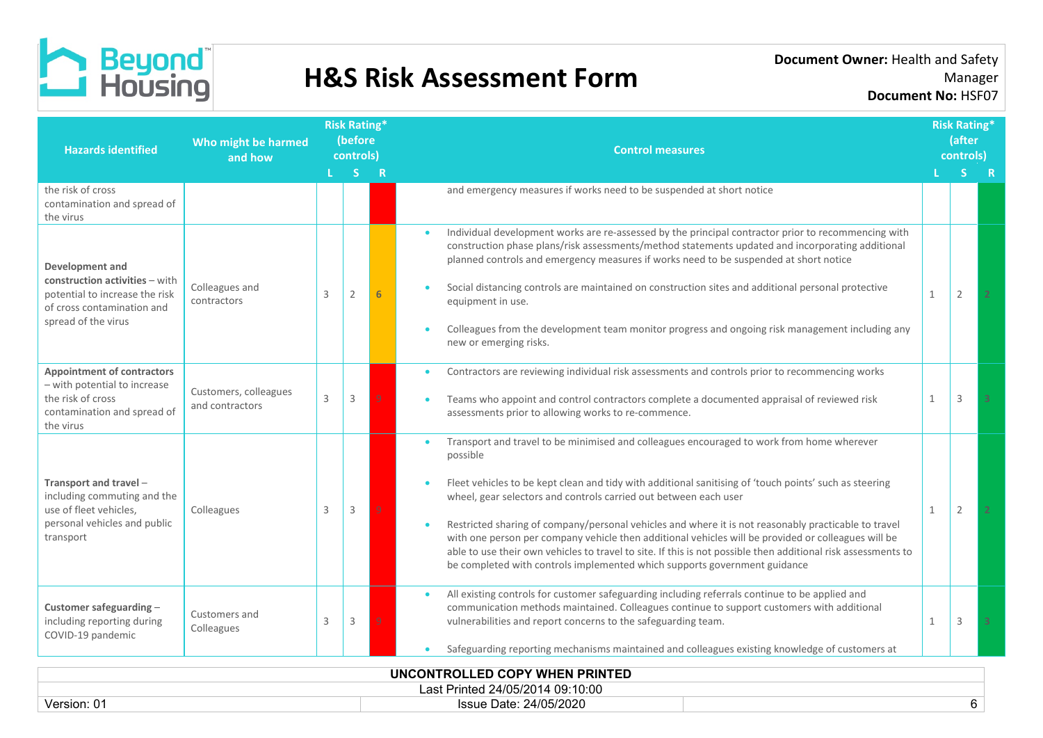

**Document Owner:** Health and Safety Manager **Document No:** HSF07

| Who might be harmed<br><b>Hazards identified</b><br>and how                                                                              |                                          | <b>Risk Rating*</b><br>(before<br>controls) |                |   | <b>Control measures</b>                                                                                                                                                                                                                                                                                                                                                                                                                                                                                                                                                                                                                                                                          | <b>Risk Rating*</b><br><b>lafter</b><br>controls) |   |  |
|------------------------------------------------------------------------------------------------------------------------------------------|------------------------------------------|---------------------------------------------|----------------|---|--------------------------------------------------------------------------------------------------------------------------------------------------------------------------------------------------------------------------------------------------------------------------------------------------------------------------------------------------------------------------------------------------------------------------------------------------------------------------------------------------------------------------------------------------------------------------------------------------------------------------------------------------------------------------------------------------|---------------------------------------------------|---|--|
|                                                                                                                                          |                                          |                                             | S.             | R |                                                                                                                                                                                                                                                                                                                                                                                                                                                                                                                                                                                                                                                                                                  |                                                   |   |  |
| the risk of cross<br>contamination and spread of<br>the virus                                                                            |                                          |                                             |                |   | and emergency measures if works need to be suspended at short notice                                                                                                                                                                                                                                                                                                                                                                                                                                                                                                                                                                                                                             |                                                   |   |  |
| Development and<br>construction activities - with<br>potential to increase the risk<br>of cross contamination and<br>spread of the virus | Colleagues and<br>contractors            | 3                                           | $\overline{2}$ |   | Individual development works are re-assessed by the principal contractor prior to recommencing with<br>construction phase plans/risk assessments/method statements updated and incorporating additional<br>planned controls and emergency measures if works need to be suspended at short notice<br>Social distancing controls are maintained on construction sites and additional personal protective<br>equipment in use.<br>Colleagues from the development team monitor progress and ongoing risk management including any<br>new or emerging risks.                                                                                                                                         | $\mathbf{1}$                                      | 2 |  |
| <b>Appointment of contractors</b><br>- with potential to increase<br>the risk of cross<br>contamination and spread of<br>the virus       | Customers, colleagues<br>and contractors | 3                                           | 3              |   | Contractors are reviewing individual risk assessments and controls prior to recommencing works<br>Teams who appoint and control contractors complete a documented appraisal of reviewed risk<br>assessments prior to allowing works to re-commence.                                                                                                                                                                                                                                                                                                                                                                                                                                              | 1                                                 | 3 |  |
| Transport and travel -<br>including commuting and the<br>use of fleet vehicles,<br>personal vehicles and public<br>transport             | Colleagues                               | 3                                           | 3              |   | Transport and travel to be minimised and colleagues encouraged to work from home wherever<br>possible<br>Fleet vehicles to be kept clean and tidy with additional sanitising of 'touch points' such as steering<br>wheel, gear selectors and controls carried out between each user<br>Restricted sharing of company/personal vehicles and where it is not reasonably practicable to travel<br>with one person per company vehicle then additional vehicles will be provided or colleagues will be<br>able to use their own vehicles to travel to site. If this is not possible then additional risk assessments to<br>be completed with controls implemented which supports government guidance | $\mathbf{1}$                                      | 2 |  |
| Customer safeguarding -<br>including reporting during<br>COVID-19 pandemic                                                               | Customers and<br>Colleagues              | 3                                           | 3              |   | All existing controls for customer safeguarding including referrals continue to be applied and<br>communication methods maintained. Colleagues continue to support customers with additional<br>vulnerabilities and report concerns to the safeguarding team.<br>Safeguarding reporting mechanisms maintained and colleagues existing knowledge of customers at                                                                                                                                                                                                                                                                                                                                  | 1                                                 | 3 |  |
|                                                                                                                                          |                                          |                                             |                |   | UNCONTROLLED COPY WHEN PRINTED                                                                                                                                                                                                                                                                                                                                                                                                                                                                                                                                                                                                                                                                   |                                                   |   |  |

Last Printed 24/05/2014 09:10:00 Version: 01 **Issue Date: 24/05/2020 Issue Date: 24/05/2020** 6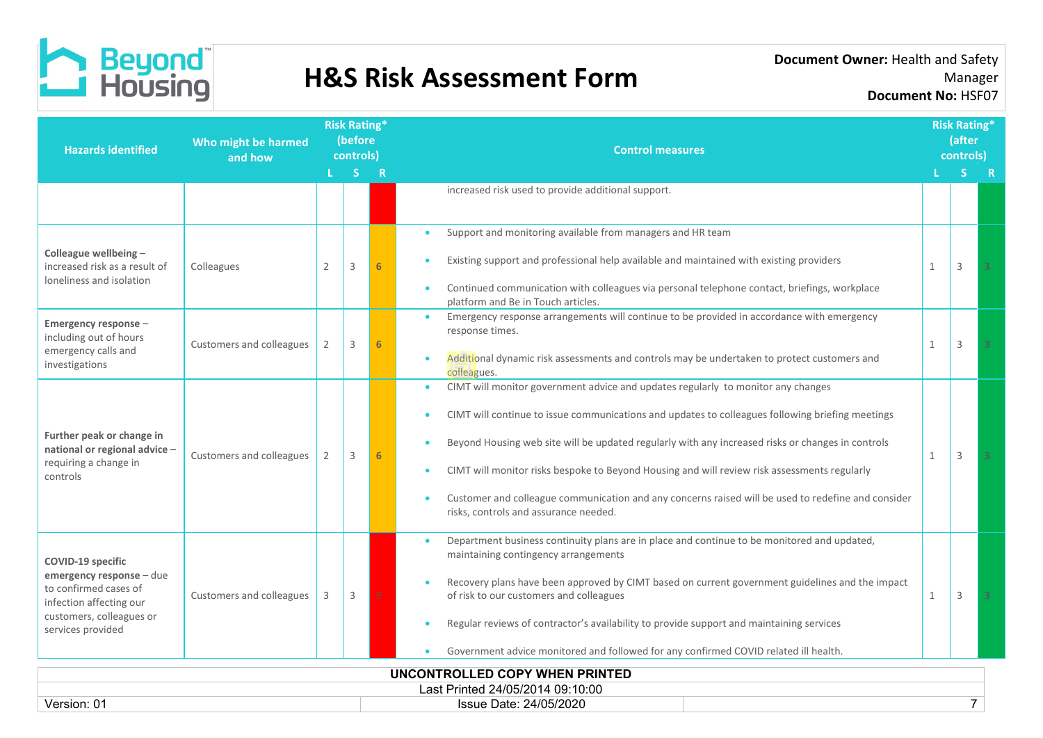

| <b>Hazards identified</b>                                                          | Who might be harmed<br>and how |                | <b>Risk Rating*</b><br>(before<br>controls) |   | <b>Control measures</b>                                                                                                                          |                                                                                  | <b>Risk Rating*</b><br>(after<br>controls) |                |  |
|------------------------------------------------------------------------------------|--------------------------------|----------------|---------------------------------------------|---|--------------------------------------------------------------------------------------------------------------------------------------------------|----------------------------------------------------------------------------------|--------------------------------------------|----------------|--|
|                                                                                    |                                |                | L <sub>SR</sub>                             |   |                                                                                                                                                  |                                                                                  |                                            | $S$ R          |  |
|                                                                                    |                                |                |                                             |   | increased risk used to provide additional support.                                                                                               |                                                                                  |                                            |                |  |
|                                                                                    |                                |                |                                             |   | Support and monitoring available from managers and HR team<br>$\bullet$                                                                          |                                                                                  |                                            |                |  |
| Colleague wellbeing -<br>increased risk as a result of<br>loneliness and isolation | Colleagues                     | $\overline{2}$ | 3                                           |   | Existing support and professional help available and maintained with existing providers                                                          | $\mathbf{1}$                                                                     | 3                                          |                |  |
|                                                                                    |                                |                |                                             |   | Continued communication with colleagues via personal telephone contact, briefings, workplace<br>platform and Be in Touch articles.               |                                                                                  |                                            |                |  |
| Emergency response -<br>including out of hours                                     |                                |                |                                             |   | Emergency response arrangements will continue to be provided in accordance with emergency<br>$\bullet$<br>response times.                        |                                                                                  |                                            |                |  |
| emergency calls and<br>investigations                                              | Customers and colleagues       | 2              | 3                                           |   | Additional dynamic risk assessments and controls may be undertaken to protect customers and<br>colleagues.                                       | 1                                                                                | 3                                          |                |  |
|                                                                                    | Customers and colleagues       |                |                                             |   |                                                                                                                                                  | CIMT will monitor government advice and updates regularly to monitor any changes |                                            |                |  |
|                                                                                    |                                |                |                                             |   | CIMT will continue to issue communications and updates to colleagues following briefing meetings                                                 |                                                                                  |                                            |                |  |
| Further peak or change in<br>national or regional advice -                         |                                |                | 3                                           | 6 | Beyond Housing web site will be updated regularly with any increased risks or changes in controls                                                | 1                                                                                | 3                                          | $\overline{3}$ |  |
| requiring a change in<br>controls                                                  |                                |                |                                             |   | CIMT will monitor risks bespoke to Beyond Housing and will review risk assessments regularly                                                     |                                                                                  |                                            |                |  |
|                                                                                    |                                |                |                                             |   | Customer and colleague communication and any concerns raised will be used to redefine and consider<br>risks, controls and assurance needed.      |                                                                                  |                                            |                |  |
| <b>COVID-19 specific</b>                                                           |                                |                |                                             |   | Department business continuity plans are in place and continue to be monitored and updated,<br>$\bullet$<br>maintaining contingency arrangements |                                                                                  |                                            |                |  |
| emergency response - due<br>to confirmed cases of<br>infection affecting our       | Customers and colleagues       |                | 3                                           | 9 | Recovery plans have been approved by CIMT based on current government guidelines and the impact<br>of risk to our customers and colleagues       | $\mathbf{1}$                                                                     | 3                                          |                |  |
| customers, colleagues or<br>services provided                                      |                                |                |                                             |   | Regular reviews of contractor's availability to provide support and maintaining services                                                         |                                                                                  |                                            |                |  |
|                                                                                    |                                |                |                                             |   | Government advice monitored and followed for any confirmed COVID related ill health.                                                             |                                                                                  |                                            |                |  |
|                                                                                    |                                |                |                                             |   | UNCONTROLLED COPY WHEN PRINTED                                                                                                                   |                                                                                  |                                            |                |  |
|                                                                                    |                                |                |                                             |   | Last Printed 24/05/2014 09:10:00                                                                                                                 |                                                                                  |                                            |                |  |
| Version: 01                                                                        |                                |                |                                             |   | Issue Date: 24/05/2020                                                                                                                           |                                                                                  | $\overline{7}$                             |                |  |